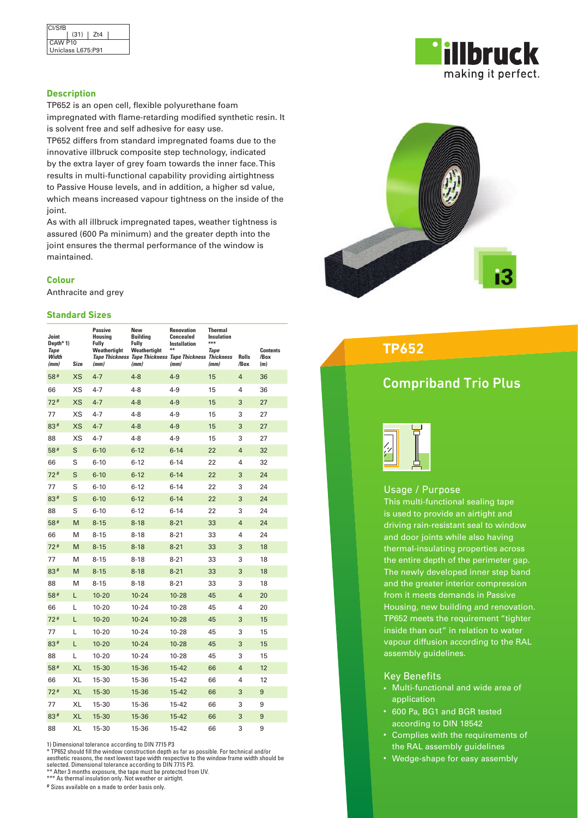

## **Description**

TP652 is an open cell, flexible polyurethane foam impregnated with flame-retarding modified synthetic resin. It is solvent free and self adhesive for easy use.

TP652 differs from standard impregnated foams due to the innovative illbruck composite step technology, indicated by the extra layer of grey foam towards the inner face. This results in multi-functional capability providing airtightness to Passive House levels, and in addition, a higher sd value, which means increased vapour tightness on the inside of the joint.

As with all illbruck impregnated tapes, weather tightness is assured (600 Pa minimum) and the greater depth into the joint ensures the thermal performance of the window is maintained.

## **Colour**

Anthracite and grey

## **Standard Sizes**

| Joint<br>Depth*1)<br>Tape<br>Width<br>(mm) | <b>Size</b> | <b>Passive</b><br>Housina<br>Fully<br>Weathertight<br>(mm) | New<br><b>Building</b><br>Fully<br>Weathertight<br>(mm) | Renovation<br>Concealed<br><b>Installation</b><br>¥¥<br>Tape Thickness Tape Thickness Tape Thickness Thickness<br>(mm) | <b>Thermal</b><br><b>Insulation</b><br>***<br><b>Tape</b><br>(mm) | <b>Rolls</b><br>/Box | <b>Contents</b><br>/Box<br>(m) |
|--------------------------------------------|-------------|------------------------------------------------------------|---------------------------------------------------------|------------------------------------------------------------------------------------------------------------------------|-------------------------------------------------------------------|----------------------|--------------------------------|
| 58#                                        | <b>XS</b>   | $4 - 7$                                                    | $4 - 8$                                                 | $4 - 9$                                                                                                                | 15                                                                | $\overline{4}$       | 36                             |
| 66                                         | XS          | $4 - 7$                                                    | $4 - 8$                                                 | $4 - 9$                                                                                                                | 15                                                                | 4                    | 36                             |
| $72*$                                      | <b>XS</b>   | $4 - 7$                                                    | $4 - 8$                                                 | $4 - 9$                                                                                                                | 15                                                                | 3                    | 27                             |
| 77                                         | XS          | $4 - 7$                                                    | $4 - 8$                                                 | $4 - 9$                                                                                                                | 15                                                                | 3                    | 27                             |
| $83*$                                      | <b>XS</b>   | $4 - 7$                                                    | $4 - 8$                                                 | $4 - 9$                                                                                                                | 15                                                                | 3                    | 27                             |
| 88                                         | XS          | $4 - 7$                                                    | $4 - 8$                                                 | $4 - 9$                                                                                                                | 15                                                                | 3                    | 27                             |
| 58#                                        | S           | $6 - 10$                                                   | $6 - 12$                                                | $6 - 14$                                                                                                               | 22                                                                | $\overline{4}$       | 32                             |
| 66                                         | S           | $6 - 10$                                                   | $6 - 12$                                                | $6 - 14$                                                                                                               | 22                                                                | 4                    | 32                             |
| $72*$                                      | S           | $6 - 10$                                                   | $6 - 12$                                                | $6 - 14$                                                                                                               | 22                                                                | 3                    | 24                             |
| 77                                         | S           | $6 - 10$                                                   | $6 - 12$                                                | $6 - 14$                                                                                                               | 22                                                                | 3                    | 24                             |
| $83*$                                      | S           | $6 - 10$                                                   | $6 - 12$                                                | $6 - 14$                                                                                                               | 22                                                                | 3                    | 24                             |
| 88                                         | S           | $6 - 10$                                                   | $6 - 12$                                                | $6 - 14$                                                                                                               | 22                                                                | 3                    | 24                             |
| 58#                                        | M           | $8 - 15$                                                   | $8 - 18$                                                | $8 - 21$                                                                                                               | 33                                                                | $\overline{4}$       | 24                             |
| 66                                         | M           | $8 - 15$                                                   | $8 - 18$                                                | $8 - 21$                                                                                                               | 33                                                                | 4                    | 24                             |
| $72*$                                      | M           | $8 - 15$                                                   | $8 - 18$                                                | $8 - 21$                                                                                                               | 33                                                                | 3                    | 18                             |
| 77                                         | M           | $8 - 15$                                                   | $8 - 18$                                                | $8 - 21$                                                                                                               | 33                                                                | 3                    | 18                             |
| $83*$                                      | M           | $8 - 15$                                                   | $8 - 18$                                                | $8 - 21$                                                                                                               | 33                                                                | 3                    | 18                             |
| 88                                         | M           | $8 - 15$                                                   | $8 - 18$                                                | $8 - 21$                                                                                                               | 33                                                                | 3                    | 18                             |
| 58#                                        | L           | $10 - 20$                                                  | $10 - 24$                                               | $10 - 28$                                                                                                              | 45                                                                | $\overline{4}$       | 20                             |
| 66                                         | L           | $10 - 20$                                                  | $10 - 24$                                               | $10 - 28$                                                                                                              | 45                                                                | 4                    | 20                             |
| $72*$                                      | L           | $10 - 20$                                                  | $10 - 24$                                               | $10 - 28$                                                                                                              | 45                                                                | 3                    | 15                             |
| 77                                         | L           | $10 - 20$                                                  | $10 - 24$                                               | $10 - 28$                                                                                                              | 45                                                                | 3                    | 15                             |
| 83#                                        | L           | $10 - 20$                                                  | $10 - 24$                                               | $10 - 28$                                                                                                              | 45                                                                | 3                    | 15                             |
| 88                                         | Г           | $10 - 20$                                                  | $10 - 24$                                               | 10-28                                                                                                                  | 45                                                                | 3                    | 15                             |
| 58#                                        | <b>XL</b>   | 15-30                                                      | 15-36                                                   | $15 - 42$                                                                                                              | 66                                                                | $\overline{4}$       | 12                             |
| 66                                         | XL          | 15-30                                                      | 15-36                                                   | 15-42                                                                                                                  | 66                                                                | 4                    | 12                             |
| 72#                                        | <b>XL</b>   | 15-30                                                      | 15-36                                                   | $15 - 42$                                                                                                              | 66                                                                | 3                    | 9                              |
| 77                                         | XL          | 15-30                                                      | 15-36                                                   | 15-42                                                                                                                  | 66                                                                | 3                    | 9                              |
| 83#                                        | <b>XL</b>   | 15-30                                                      | 15-36                                                   | $15 - 42$                                                                                                              | 66                                                                | 3                    | 9                              |
| 88                                         | XL          | 15-30                                                      | 15-36                                                   | 15-42                                                                                                                  | 66                                                                | 3                    | 9                              |

1) Dimensional tolerance according to DIN 7715 P3

\* TP652 should fill the window construction depth as far as possible. For technical and/or<br>aesthetic reasons, the next lowest tape width respective to the window frame width should be<br>selected. Dimensional tolerance accord

# Sizes available on a made to order basis only.



## **TP652**

# Compriband Trio Plus



## Usage / Purpose

This multi-functional sealing tape is used to provide an airtight and driving rain-resistant seal to window and door joints while also having thermal-insulating properties across the entire depth of the perimeter gap. The newly developed inner step band and the greater interior compression from it meets demands in Passive Housing, new building and renovation. TP652 meets the requirement "tighter inside than out" in relation to water vapour diffusion according to the RAL assembly guidelines.

## Key Benefits

- Multi-functional and wide area of application
- 600 Pa, BG1 and BGR tested according to DIN 18542
- • Complies with the requirements of the RAL assembly guidelines
- Wedge-shape for easy assembly

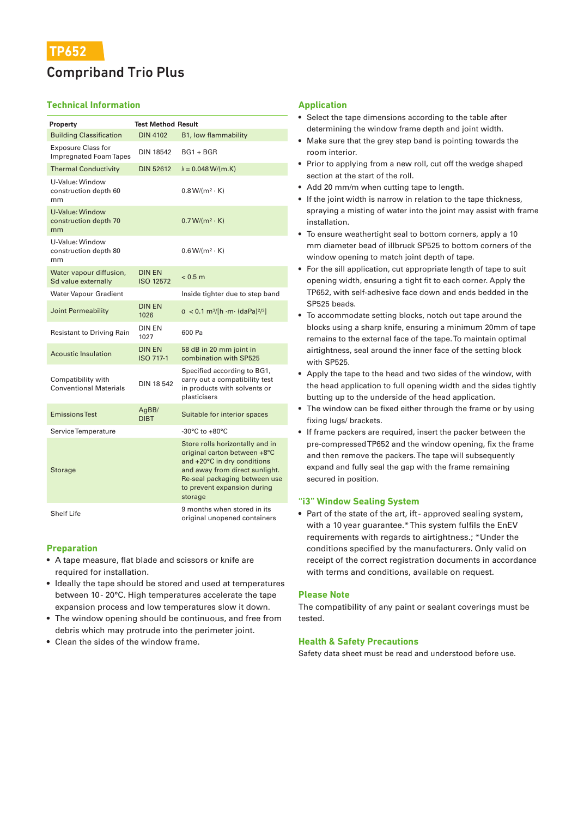# Compriband Trio Plus

## **Technical Information**

| Property                                                   | <b>Test Method Result</b>         |                                                                                                                                                                                                             |  |
|------------------------------------------------------------|-----------------------------------|-------------------------------------------------------------------------------------------------------------------------------------------------------------------------------------------------------------|--|
| <b>Building Classification</b>                             | <b>DIN 4102</b>                   | B1, low flammability                                                                                                                                                                                        |  |
| <b>Exposure Class for</b><br><b>Impregnated Foam Tapes</b> | <b>DIN 18542</b>                  | $BG1 + BGR$                                                                                                                                                                                                 |  |
| <b>Thermal Conductivity</b>                                | <b>DIN 52612</b>                  | $\lambda = 0.048 W/(m.K)$                                                                                                                                                                                   |  |
| U-Value: Window<br>construction depth 60<br>mm             |                                   | $0.8 W/(m^2 \cdot K)$                                                                                                                                                                                       |  |
| <b>U-Value: Window</b><br>construction depth 70<br>mm      |                                   | $0.7 W/(m^2 \cdot K)$                                                                                                                                                                                       |  |
| U-Value: Window<br>construction depth 80<br>mm             |                                   | $0.6 W/(m^2 \cdot K)$                                                                                                                                                                                       |  |
| Water vapour diffusion,<br>Sd value externally             | <b>DIN EN</b><br><b>ISO 12572</b> | < 0.5 m                                                                                                                                                                                                     |  |
| <b>Water Vapour Gradient</b>                               |                                   | Inside tighter due to step band                                                                                                                                                                             |  |
| Joint Permeability                                         | <b>DIN EN</b><br>1026             | $\alpha$ < 0.1 m <sup>3</sup> /[h ·m· (daPa) <sup>2/3</sup> ]                                                                                                                                               |  |
| <b>Resistant to Driving Rain</b>                           | <b>DIN EN</b><br>1027             | 600 Pa                                                                                                                                                                                                      |  |
| <b>Acoustic Insulation</b>                                 | <b>DIN EN</b><br><b>ISO 717-1</b> | 58 dB in 20 mm joint in<br>combination with SP525                                                                                                                                                           |  |
| Compatibility with<br><b>Conventional Materials</b>        | <b>DIN 18 542</b>                 | Specified according to BG1,<br>carry out a compatibility test<br>in products with solvents or<br>plasticisers                                                                                               |  |
| <b>Emissions Test</b>                                      | AgBB/<br><b>DIBT</b>              | Suitable for interior spaces                                                                                                                                                                                |  |
| Service Temperature                                        |                                   | -30 $^{\circ}$ C to +80 $^{\circ}$ C                                                                                                                                                                        |  |
| Storage                                                    |                                   | Store rolls horizontally and in<br>original carton between +8°C<br>and +20°C in dry conditions<br>and away from direct sunlight.<br>Re-seal packaging between use<br>to prevent expansion during<br>storage |  |
| <b>Shelf Life</b>                                          |                                   | 9 months when stored in its<br>original unopened containers                                                                                                                                                 |  |

## **Preparation**

- A tape measure, flat blade and scissors or knife are required for installation.
- Ideally the tape should be stored and used at temperatures between 10-20°C. High temperatures accelerate the tape expansion process and low temperatures slow it down.
- The window opening should be continuous, and free from debris which may protrude into the perimeter joint.
- Clean the sides of the window frame.

## **Application**

- Select the tape dimensions according to the table after determining the window frame depth and joint width.
- Make sure that the grey step band is pointing towards the room interior.
- Prior to applying from a new roll, cut off the wedge shaped section at the start of the roll.
- Add 20 mm/m when cutting tape to length.
- If the joint width is narrow in relation to the tape thickness, spraying a misting of water into the joint may assist with frame installation.
- To ensure weathertight seal to bottom corners, apply a 10 mm diameter bead of illbruck SP525 to bottom corners of the window opening to match joint depth of tape.
- For the sill application, cut appropriate length of tape to suit opening width, ensuring a tight fit to each corner. Apply the TP652, with self-adhesive face down and ends bedded in the SP525 beads.
- To accommodate setting blocks, notch out tape around the blocks using a sharp knife, ensuring a minimum 20mm of tape remains to the external face of the tape. To maintain optimal airtightness, seal around the inner face of the setting block with SP525.
- Apply the tape to the head and two sides of the window, with the head application to full opening width and the sides tightly butting up to the underside of the head application.
- The window can be fixed either through the frame or by using fixing lugs/ brackets.
- If frame packers are required, insert the packer between the pre-compressed TP652 and the window opening, fix the frame and then remove the packers. The tape will subsequently expand and fully seal the gap with the frame remaining secured in position.

## **"i3" Window Sealing System**

• Part of the state of the art, ift- approved sealing system, with a 10 year guarantee.\* This system fulfils the EnEV requirements with regards to airtightness.; \*Under the conditions specified by the manufacturers. Only valid on receipt of the correct registration documents in accordance with terms and conditions, available on request.

## **Please Note**

The compatibility of any paint or sealant coverings must be tested.

## **Health & Safety Precautions**

Safety data sheet must be read and understood before use.